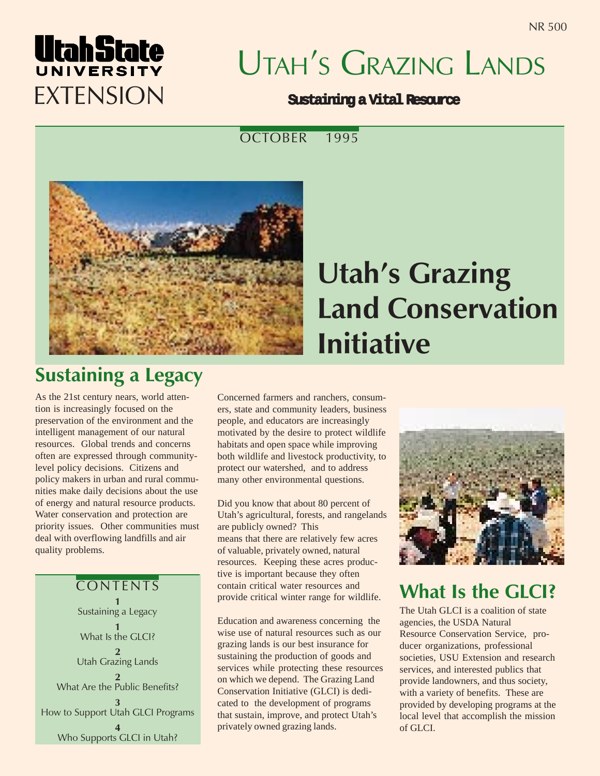# UtahState EXTENSION

# UTAH'S GRAZING LANDS

#### **Sustaining a Vital Resource**

OCTOBER 1995



## **Utah's Grazing** Land Conservation Initiative

## Sustaining a Legacy

As the 21st century nears, world attention is increasingly focused on the preservation of the environment and the intelligent management of our natural resources. Global trends and concerns often are expressed through communitylevel policy decisions. Citizens and policy makers in urban and rural communities make daily decisions about the use of energy and natural resource products. Water conservation and protection are priority issues. Other communities must deal with overflowing landfills and air quality problems.

**CONTENTS** 1 Sustaining a Legacy 1 What Is the GLCI? 2 Utah Grazing Lands 2 What Are the Public Benefits? 3 How to Support Utah GLCI Programs 4 Who Supports GLCI in Utah?

Concerned farmers and ranchers, consumers, state and community leaders, business people, and educators are increasingly motivated by the desire to protect wildlife habitats and open space while improving both wildlife and livestock productivity, to protect our watershed, and to address many other environmental questions.

Did you know that about 80 percent of Utah's agricultural, forests, and rangelands are publicly owned? This means that there are relatively few acres of valuable, privately owned, natural resources. Keeping these acres productive is important because they often contain critical water resources and provide critical winter range for wildlife.

Education and awareness concerning the wise use of natural resources such as our grazing lands is our best insurance for sustaining the production of goods and services while protecting these resources on which we depend. The Grazing Land Conservation Initiative (GLCI) is dedicated to the development of programs that sustain, improve, and protect Utah's privately owned grazing lands.



## What Is the GLCI?

The Utah GLCI is a coalition of state agencies, the USDA Natural Resource Conservation Service, producer organizations, professional societies, USU Extension and research services, and interested publics that provide landowners, and thus society, with a variety of benefits. These are provided by developing programs at the local level that accomplish the mission of GLCI.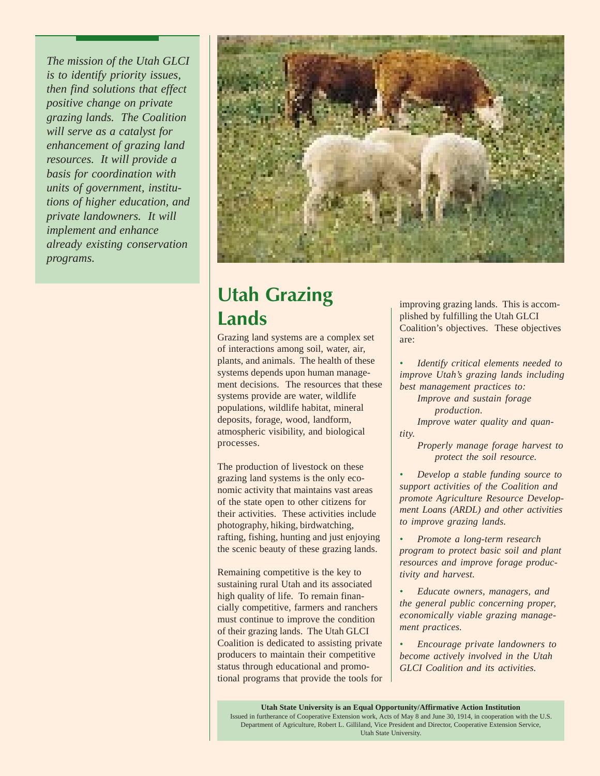*The mission of the Utah GLCI is to identify priority issues, then find solutions that effect positive change on private grazing lands. The Coalition will serve as a catalyst for enhancement of grazing land resources. It will provide a basis for coordination with units of government, institutions of higher education, and private landowners. It will implement and enhance already existing conservation programs.*



## Utah Grazing **Lands**

Grazing land systems are a complex set of interactions among soil, water, air, plants, and animals. The health of these systems depends upon human management decisions. The resources that these systems provide are water, wildlife populations, wildlife habitat, mineral deposits, forage, wood, landform, atmospheric visibility, and biological processes.

The production of livestock on these grazing land systems is the only economic activity that maintains vast areas of the state open to other citizens for their activities. These activities include photography, hiking, birdwatching, rafting, fishing, hunting and just enjoying the scenic beauty of these grazing lands.

Remaining competitive is the key to sustaining rural Utah and its associated high quality of life. To remain financially competitive, farmers and ranchers must continue to improve the condition of their grazing lands. The Utah GLCI Coalition is dedicated to assisting private producers to maintain their competitive status through educational and promotional programs that provide the tools for improving grazing lands. This is accomplished by fulfilling the Utah GLCI Coalition's objectives. These objectives are:

*• Identify critical elements needed to improve Utah's grazing lands including best management practices to:*

- *Improve and sustain forage production.*
- *Improve water quality and quantity.*
	- *Properly manage forage harvest to protect the soil resource.*
- *• Develop a stable funding source to support activities of the Coalition and promote Agriculture Resource Development Loans (ARDL) and other activities to improve grazing lands.*
- *• Promote a long-term research program to protect basic soil and plant resources and improve forage productivity and harvest.*
- *• Educate owners, managers, and the general public concerning proper, economically viable grazing management practices.*
- *• Encourage private landowners to become actively involved in the Utah GLCI Coalition and its activities.*

**Utah State University is an Equal Opportunity/Affirmative Action Institution** Issued in furtherance of Cooperative Extension work, Acts of May 8 and June 30, 1914, in cooperation with the U.S. Department of Agriculture, Robert L. Gilliland, Vice President and Director, Cooperative Extension Service, Utah State University.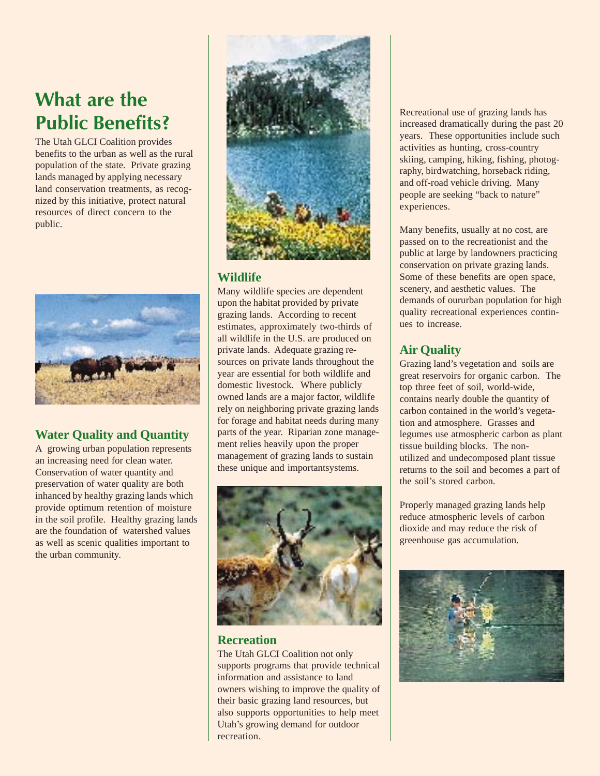## What are the Public Benefits?

The Utah GLCI Coalition provides benefits to the urban as well as the rural population of the state. Private grazing lands managed by applying necessary land conservation treatments, as recognized by this initiative, protect natural resources of direct concern to the public.



#### **Water Quality and Quantity**

A growing urban population represents an increasing need for clean water. Conservation of water quantity and preservation of water quality are both inhanced by healthy grazing lands which provide optimum retention of moisture in the soil profile. Healthy grazing lands are the foundation of watershed values as well as scenic qualities important to the urban community.



#### **Wildlife**

Many wildlife species are dependent upon the habitat provided by private grazing lands. According to recent estimates, approximately two-thirds of all wildlife in the U.S. are produced on private lands. Adequate grazing resources on private lands throughout the year are essential for both wildlife and domestic livestock. Where publicly owned lands are a major factor, wildlife rely on neighboring private grazing lands for forage and habitat needs during many parts of the year. Riparian zone management relies heavily upon the proper management of grazing lands to sustain these unique and importantsystems.



#### **Recreation**

The Utah GLCI Coalition not only supports programs that provide technical information and assistance to land owners wishing to improve the quality of their basic grazing land resources, but also supports opportunities to help meet Utah's growing demand for outdoor recreation.

Recreational use of grazing lands has increased dramatically during the past 20 years. These opportunities include such activities as hunting, cross-country skiing, camping, hiking, fishing, photography, birdwatching, horseback riding, and off-road vehicle driving. Many people are seeking "back to nature" experiences.

Many benefits, usually at no cost, are passed on to the recreationist and the public at large by landowners practicing conservation on private grazing lands. Some of these benefits are open space, scenery, and aesthetic values. The demands of oururban population for high quality recreational experiences continues to increase.

#### **Air Quality**

Grazing land's vegetation and soils are great reservoirs for organic carbon. The top three feet of soil, world-wide, contains nearly double the quantity of carbon contained in the world's vegetation and atmosphere. Grasses and legumes use atmospheric carbon as plant tissue building blocks. The nonutilized and undecomposed plant tissue returns to the soil and becomes a part of the soil's stored carbon.

Properly managed grazing lands help reduce atmospheric levels of carbon dioxide and may reduce the risk of greenhouse gas accumulation.